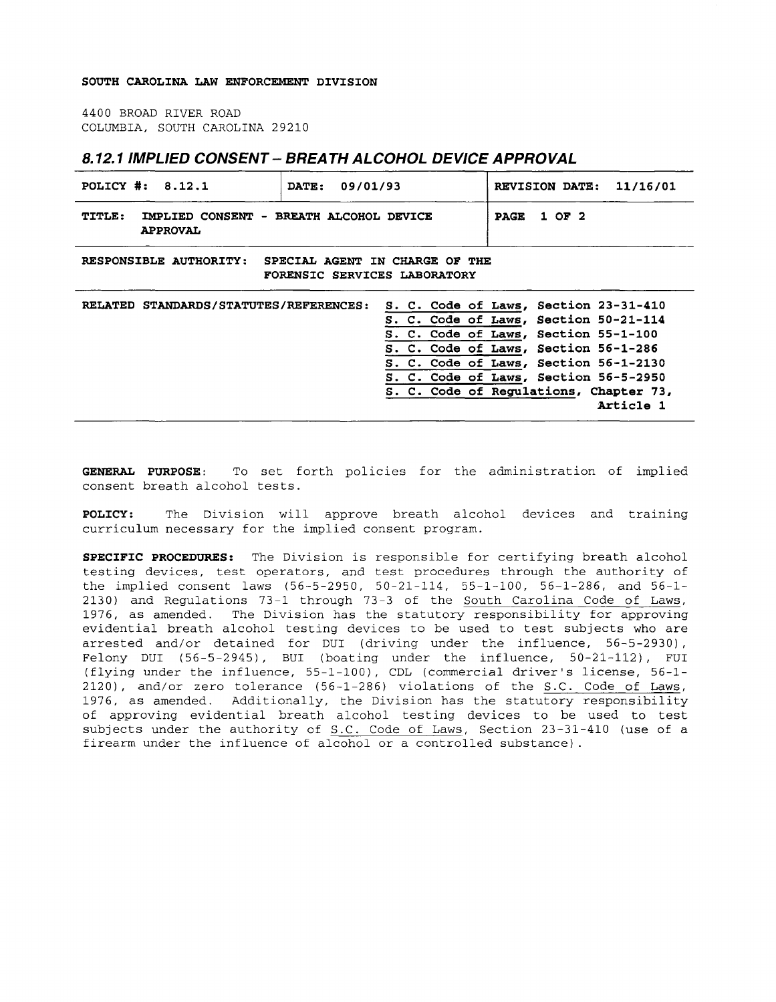## **SOUTH CAROLINA LAW ENFORCEMENT DIVISION**

4400 BROAD RIVER ROAD COLUMBIA, SOUTH CAROLINA 29210

## **8.12.1 IMPLIED CONSENT- BREATH ALCOHOL DEVICE APPROVAL**

| POLICY #: 8.12.1                                                                         | 09/01/93<br>DATE: | REVISION DATE: 11/16/01                                                                                                                                                                                                                                                                                 |
|------------------------------------------------------------------------------------------|-------------------|---------------------------------------------------------------------------------------------------------------------------------------------------------------------------------------------------------------------------------------------------------------------------------------------------------|
| TITLE:<br>IMPLIED CONSENT - BREATH ALCOHOL DEVICE<br><b>APPROVAL</b>                     |                   | 1 OF 2<br><b>PAGE</b>                                                                                                                                                                                                                                                                                   |
| RESPONSIBLE AUTHORITY:<br>SPECIAL AGENT IN CHARGE OF THE<br>FORENSIC SERVICES LABORATORY |                   |                                                                                                                                                                                                                                                                                                         |
| RELATED STANDARDS/STATUTES/REFERENCES:                                                   |                   | S. C. Code of Laws, Section 23-31-410<br>S. C. Code of Laws, Section 50-21-114<br>S. C. Code of Laws, Section 55-1-100<br>S. C. Code of Laws, Section 56-1-286<br>S. C. Code of Laws, Section 56-1-2130<br>S. C. Code of Laws, Section 56-5-2950<br>S. C. Code of Regulations, Chapter 73,<br>Article 1 |

**GENERAL PURPOSE:** To set forth policies for the administration of implied consent breath alcohol tests.

**POLICY: The Division will approve breath alcohol devices and training**  curriculum necessary for the implied consent program.

**SPECIFIC PROCEDURES:** The Division is responsible for certifying breath alcohol testing devices, test operators, and test procedures through the authority of the implied consent laws (56-5-2950, 50-21-114, 55-1-100, 56-1-286, and 56-1- 2130) and Regulations 73-1 through 73-3 of the South Carolina Code of Laws, 1976, as amended. The Division has the statutory responsibility for approving evidential breath alcohol testing devices to be used to test subjects who are arrested and/or detained for DUI (driving under the influence, 56-5-2930), Felony DUI (56-5-2945), BUI (boating under the influence, 50-21-112), FUI (flying under the influence, 55-1-100), CDL (commercial driver's license, 56-1- 2120), and/or zero tolerance (56-1-286) violations of the S.C. Code of Laws, 1976, as amended. Additionally, the Division has the statutory responsibility of approving evidential breath alcohol testing devices to be used to test subjects under the authority of S.C. Code of Laws, Section 23-31-410 (use of a firearm under the influence of alcohol or a controlled substance) .